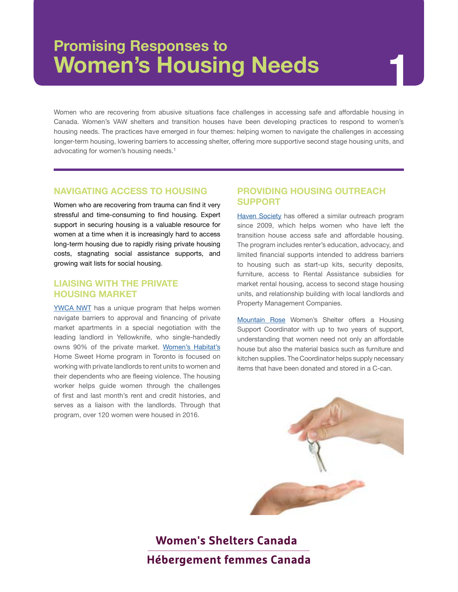## **Promising Responses to Women's Housing Needs**

# **1**

Women who are recovering from abusive situations face challenges in accessing safe and affordable housing in Canada. Women's VAW shelters and transition houses have been developing practices to respond to women's housing needs. The practices have emerged in four themes: helping women to navigate the challenges in accessing longer-term housing, lowering barriers to accessing shelter, offering more supportive second stage housing units, and advocating for women's housing needs.<sup>1</sup>

#### **NAVIGATING ACCESS TO HOUSING**

Women who are recovering from trauma can find it very stressful and time-consuming to find housing. Expert support in securing housing is a valuable resource for women at a time when it is increasingly hard to access long-term housing due to rapidly rising private housing costs, stagnating social assistance supports, and growing wait lists for social housing.

#### **LIAISING WITH THE PRIVATE HOUSING MARKET**

[YWCA NWT](http://www.ywcanwt.ca) has a unique program that helps women navigate barriers to approval and financing of private market apartments in a special negotiation with the leading landlord in Yellowknife, who single-handedly owns 90% of the private market. [Women's Habitat's](http://womenshabitat.ca) Home Sweet Home program in Toronto is focused on working with private landlords to rent units to women and their dependents who are fleeing violence. The housing worker helps guide women through the challenges of first and last month's rent and credit histories, and serves as a liaison with the landlords. Through that program, over 120 women were housed in 2016.

#### **PROVIDING HOUSING OUTREACH SUPPORT**

[Haven Society](http://www.havensociety.com) has offered a similar outreach program since 2009, which helps women who have left the transition house access safe and affordable housing. The program includes renter's education, advocacy, and limited financial supports intended to address barriers to housing such as start-up kits, security deposits, furniture, access to Rental Assistance subsidies for market rental housing, access to second stage housing units, and relationship building with local landlords and Property Management Companies.

[Mountain Rose](http://ldallacosta.wixsite.com/rmhshelter) Women's Shelter offers a Housing Support Coordinator with up to two years of support, understanding that women need not only an affordable house but also the material basics such as furniture and kitchen supplies. The Coordinator helps supply necessary items that have been donated and stored in a C-can.



## **Women's Shelters Canada Hébergement femmes Canada**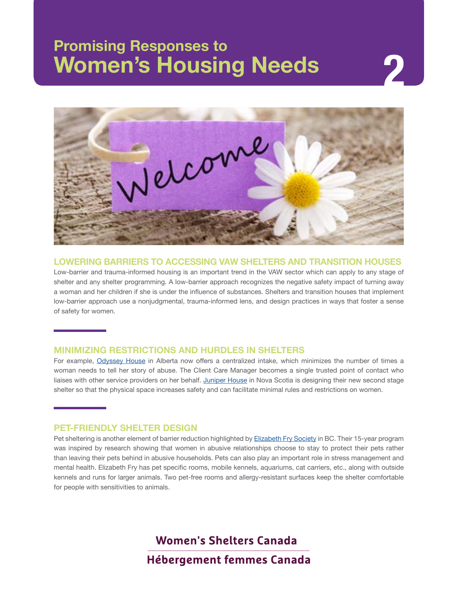## **Promising Responses to Women's Housing Needs 2**



**LOWERING BARRIERS TO ACCESSING VAW SHELTERS AND TRANSITION HOUSES**

Low-barrier and trauma-informed housing is an important trend in the VAW sector which can apply to any stage of shelter and any shelter programming. A low-barrier approach recognizes the negative safety impact of turning away a woman and her children if she is under the influence of substances. Shelters and transition houses that implement low-barrier approach use a nonjudgmental, trauma-informed lens, and design practices in ways that foster a sense of safety for women.

#### **MINIMIZING RESTRICTIONS AND HURDLES IN SHELTERS**

For example, [Odyssey House](http://www.odysseyhouse.ca) in Alberta now offers a centralized intake, which minimizes the number of times a woman needs to tell her story of abuse. The Client Care Manager becomes a single trusted point of contact who liaises with other service providers on her behalf. [Juniper House](http://www.juniperhouse.ca) in Nova Scotia is designing their new second stage shelter so that the physical space increases safety and can facilitate minimal rules and restrictions on women.

#### **PET-FRIENDLY SHELTER DESIGN**

Pet sheltering is another element of barrier reduction highlighted by [Elizabeth Fry Society](http://www.pgefry.bc.ca) in BC. Their 15-year program was inspired by research showing that women in abusive relationships choose to stay to protect their pets rather than leaving their pets behind in abusive households. Pets can also play an important role in stress management and mental health. Elizabeth Fry has pet specific rooms, mobile kennels, aquariums, cat carriers, etc., along with outside kennels and runs for larger animals. Two pet-free rooms and allergy-resistant surfaces keep the shelter comfortable for people with sensitivities to animals.

Women's Shelters Canada

**Hébergement femmes Canada**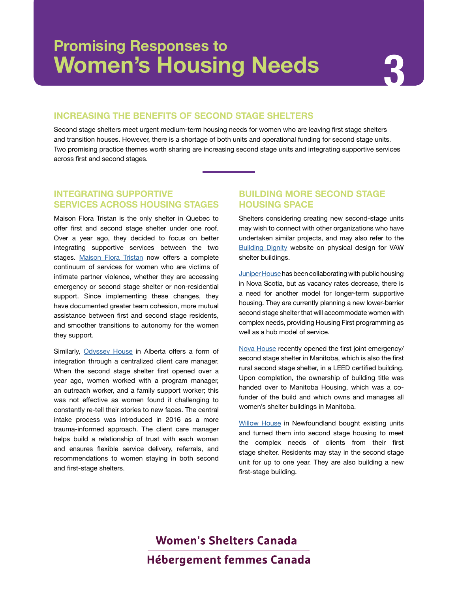#### **INCREASING THE BENEFITS OF SECOND STAGE SHELTERS**

Second stage shelters meet urgent medium-term housing needs for women who are leaving first stage shelters and transition houses. However, there is a shortage of both units and operational funding for second stage units. Two promising practice themes worth sharing are increasing second stage units and integrating supportive services across first and second stages.

#### **INTEGRATING SUPPORTIVE SERVICES ACROSS HOUSING STAGES**

Maison Flora Tristan is the only shelter in Quebec to offer first and second stage shelter under one roof. Over a year ago, they decided to focus on better integrating supportive services between the two stages. [Maison Flora Tristan](http://www.maisonfloratristan.com) now offers a complete continuum of services for women who are victims of intimate partner violence, whether they are accessing emergency or second stage shelter or non-residential support. Since implementing these changes, they have documented greater team cohesion, more mutual assistance between first and second stage residents, and smoother transitions to autonomy for the women they support.

Similarly, [Odyssey House](http://www.odysseyhouse.ca) in Alberta offers a form of integration through a centralized client care manager. When the second stage shelter first opened over a year ago, women worked with a program manager, an outreach worker, and a family support worker; this was not effective as women found it challenging to constantly re-tell their stories to new faces. The central intake process was introduced in 2016 as a more trauma-informed approach. The client care manager helps build a relationship of trust with each woman and ensures flexible service delivery, referrals, and recommendations to women staying in both second and first-stage shelters.

#### **BUILDING MORE SECOND STAGE HOUSING SPACE**

Shelters considering creating new second-stage units may wish to connect with other organizations who have undertaken similar projects, and may also refer to the [Building Dignity](http://buildingdignity.wscadv.org) website on physical design for VAW shelter buildings.

[Juniper House](http://www.juniperhouse.ca) has been collaborating with public housing in Nova Scotia, but as vacancy rates decrease, there is a need for another model for longer-term supportive housing. They are currently planning a new lower-barrier second stage shelter that will accommodate women with complex needs, providing Housing First programming as well as a hub model of service.

[Nova House](http://www.novahouse.ca) recently opened the first joint emergency/ second stage shelter in Manitoba, which is also the first rural second stage shelter, in a LEED certified building. Upon completion, the ownership of building title was handed over to Manitoba Housing, which was a cofunder of the build and which owns and manages all women's shelter buildings in Manitoba.

[Willow House](http://www.willowhousenl.com) in Newfoundland bought existing units and turned them into second stage housing to meet the complex needs of clients from their first stage shelter. Residents may stay in the second stage unit for up to one year. They are also building a new first-stage building.

## Women's Shelters Canada **Hébergement femmes Canada**